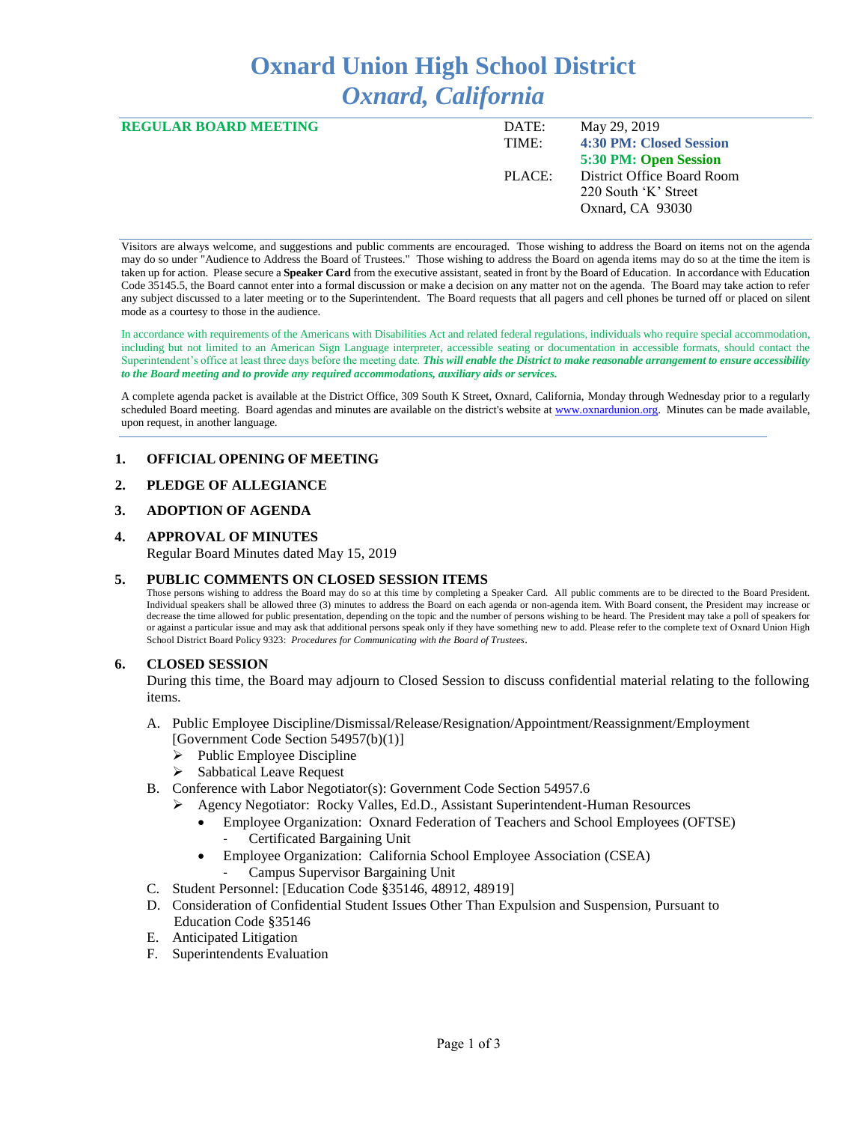# **Oxnard Union High School District** *Oxnard, California*

| <b>REGULAR BOARD MEETING</b> | DATE:  | May 29, 2019               |
|------------------------------|--------|----------------------------|
|                              | TIME:  | 4:30 PM: Closed Session    |
|                              |        | 5:30 PM: Open Session      |
|                              | PLACE: | District Office Board Room |
|                              |        | 220 South 'K' Street       |
|                              |        | Oxnard, CA 93030           |
|                              |        |                            |

Visitors are always welcome, and suggestions and public comments are encouraged. Those wishing to address the Board on items not on the agenda may do so under "Audience to Address the Board of Trustees." Those wishing to address the Board on agenda items may do so at the time the item is taken up for action. Please secure a **Speaker Card** from the executive assistant, seated in front by the Board of Education. In accordance with Education Code 35145.5, the Board cannot enter into a formal discussion or make a decision on any matter not on the agenda. The Board may take action to refer any subject discussed to a later meeting or to the Superintendent. The Board requests that all pagers and cell phones be turned off or placed on silent mode as a courtesy to those in the audience.

In accordance with requirements of the Americans with Disabilities Act and related federal regulations, individuals who require special accommodation, including but not limited to an American Sign Language interpreter, accessible seating or documentation in accessible formats, should contact the Superintendent's office at least three days before the meeting date. *This will enable the District to make reasonable arrangement to ensure accessibility to the Board meeting and to provide any required accommodations, auxiliary aids or services.* 

A complete agenda packet is available at the District Office, 309 South K Street, Oxnard, California, Monday through Wednesday prior to a regularly scheduled Board meeting. Board agendas and minutes are available on the district's website a[t www.ox](http://www.o/)nardunion.org.Minutes can be made available, upon request, in another language.

## **1. OFFICIAL OPENING OF MEETING**

# **2. PLEDGE OF ALLEGIANCE**

# **3. ADOPTION OF AGENDA**

# **4. APPROVAL OF MINUTES** Regular Board Minutes dated May 15, 2019

## **5. PUBLIC COMMENTS ON CLOSED SESSION ITEMS**

Those persons wishing to address the Board may do so at this time by completing a Speaker Card. All public comments are to be directed to the Board President. Individual speakers shall be allowed three (3) minutes to address the Board on each agenda or non-agenda item. With Board consent, the President may increase or decrease the time allowed for public presentation, depending on the topic and the number of persons wishing to be heard. The President may take a poll of speakers for or against a particular issue and may ask that additional persons speak only if they have something new to add. Please refer to the complete text of Oxnard Union High School District Board Policy 9323: *Procedures for Communicating with the Board of Trustees*.

## **6. CLOSED SESSION**

During this time, the Board may adjourn to Closed Session to discuss confidential material relating to the following items.

- A. Public Employee Discipline/Dismissal/Release/Resignation/Appointment/Reassignment/Employment [Government Code Section 54957(b)(1)]
	- ➢ Public Employee Discipline
	- Sabbatical Leave Request
- B. Conference with Labor Negotiator(s): Government Code Section 54957.6
	- ➢ Agency Negotiator: Rocky Valles, Ed.D., Assistant Superintendent-Human Resources
		- Employee Organization: Oxnard Federation of Teachers and School Employees (OFTSE) Certificated Bargaining Unit
		- Employee Organization: California School Employee Association (CSEA)
			- Campus Supervisor Bargaining Unit
- C. Student Personnel: [Education Code §35146, 48912, 48919]
- D. Consideration of Confidential Student Issues Other Than Expulsion and Suspension, Pursuant to Education Code §35146
- E. Anticipated Litigation
- F. Superintendents Evaluation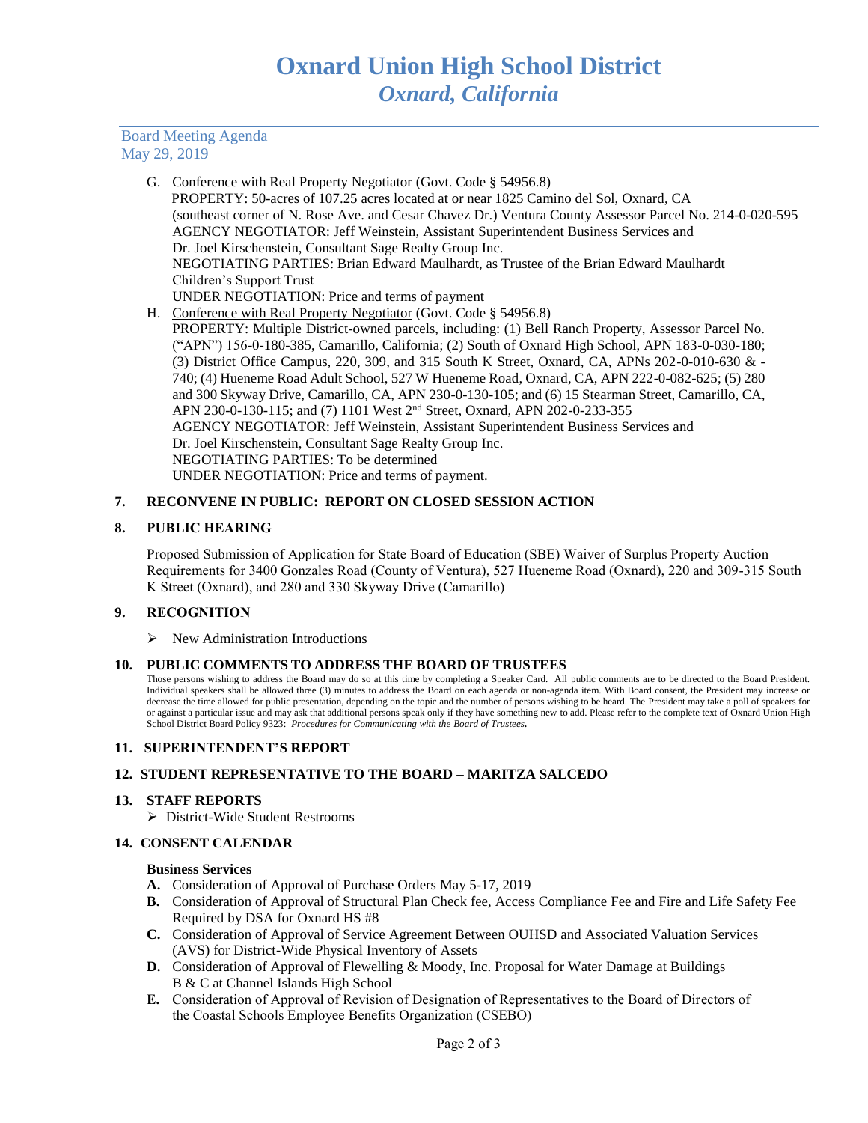## Board Meeting Agenda May 29, 2019

- G. Conference with Real Property Negotiator (Govt. Code § 54956.8) PROPERTY: 50-acres of 107.25 acres located at or near 1825 Camino del Sol, Oxnard, CA (southeast corner of N. Rose Ave. and Cesar Chavez Dr.) Ventura County Assessor Parcel No. 214-0-020-595 AGENCY NEGOTIATOR: Jeff Weinstein, Assistant Superintendent Business Services and Dr. Joel Kirschenstein, Consultant Sage Realty Group Inc. NEGOTIATING PARTIES: Brian Edward Maulhardt, as Trustee of the Brian Edward Maulhardt Children's Support Trust UNDER NEGOTIATION: Price and terms of payment H. Conference with Real Property Negotiator (Govt. Code § 54956.8)
- PROPERTY: Multiple District-owned parcels, including: (1) Bell Ranch Property, Assessor Parcel No. ("APN") 156-0-180-385, Camarillo, California; (2) South of Oxnard High School, APN 183-0-030-180; (3) District Office Campus, 220, 309, and 315 South K Street, Oxnard, CA, APNs 202-0-010-630 & - 740; (4) Hueneme Road Adult School, 527 W Hueneme Road, Oxnard, CA, APN 222-0-082-625; (5) 280 and 300 Skyway Drive, Camarillo, CA, APN 230-0-130-105; and (6) 15 Stearman Street, Camarillo, CA, APN 230-0-130-115; and (7) 1101 West 2nd Street, Oxnard, APN 202-0-233-355 AGENCY NEGOTIATOR: Jeff Weinstein, Assistant Superintendent Business Services and Dr. Joel Kirschenstein, Consultant Sage Realty Group Inc. NEGOTIATING PARTIES: To be determined UNDER NEGOTIATION: Price and terms of payment.

# **7. RECONVENE IN PUBLIC: REPORT ON CLOSED SESSION ACTION**

# **8. PUBLIC HEARING**

Proposed Submission of Application for State Board of Education (SBE) Waiver of Surplus Property Auction Requirements for 3400 Gonzales Road (County of Ventura), 527 Hueneme Road (Oxnard), 220 and 309-315 South K Street (Oxnard), and 280 and 330 Skyway Drive (Camarillo)

# **9. RECOGNITION**

➢ New Administration Introductions

## **10. PUBLIC COMMENTS TO ADDRESS THE BOARD OF TRUSTEES**

Those persons wishing to address the Board may do so at this time by completing a Speaker Card. All public comments are to be directed to the Board President. Individual speakers shall be allowed three (3) minutes to address the Board on each agenda or non-agenda item. With Board consent, the President may increase or decrease the time allowed for public presentation, depending on the topic and the number of persons wishing to be heard. The President may take a poll of speakers for or against a particular issue and may ask that additional persons speak only if they have something new to add. Please refer to the complete text of Oxnard Union High School District Board Policy 9323: *Procedures for Communicating with the Board of Trustees.*

## **11. SUPERINTENDENT'S REPORT**

# **12. STUDENT REPRESENTATIVE TO THE BOARD – MARITZA SALCEDO**

## **13. STAFF REPORTS**

➢ District-Wide Student Restrooms

## **14. CONSENT CALENDAR**

## **Business Services**

- **A.** Consideration of Approval of Purchase Orders May 5-17, 2019
- **B.** Consideration of Approval of Structural Plan Check fee, Access Compliance Fee and Fire and Life Safety Fee Required by DSA for Oxnard HS #8
- **C.** Consideration of Approval of Service Agreement Between OUHSD and Associated Valuation Services (AVS) for District-Wide Physical Inventory of Assets
- **D.** Consideration of Approval of Flewelling & Moody, Inc. Proposal for Water Damage at Buildings B & C at Channel Islands High School
- **E.** Consideration of Approval of Revision of Designation of Representatives to the Board of Directors of the Coastal Schools Employee Benefits Organization (CSEBO)